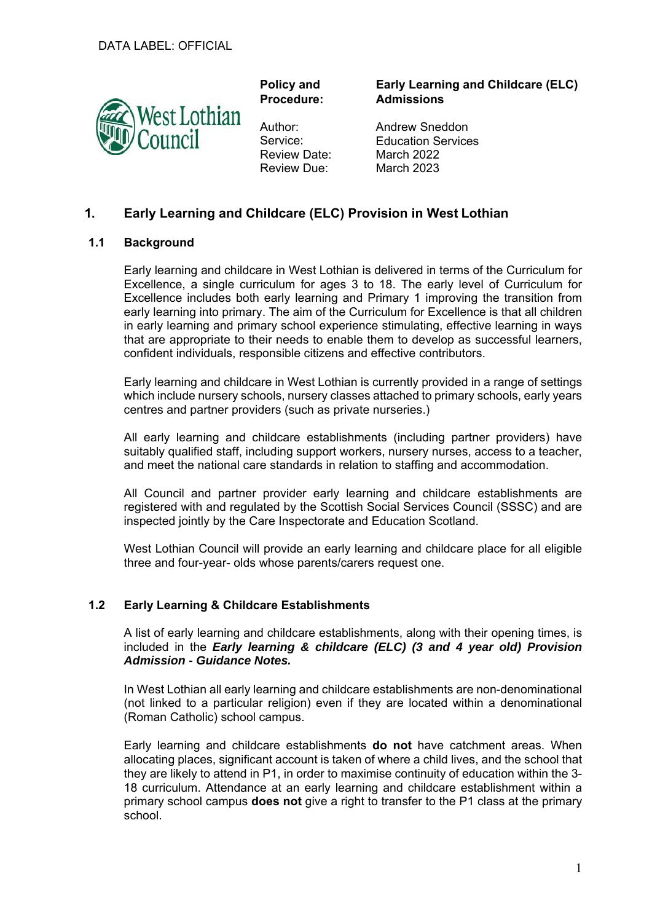

**Policy and Procedure:** 

Author: Service: Review Date: Review Due:

**Early Learning and Childcare (ELC) Admissions** 

Andrew Sneddon Education Services March 2022 March 2023

# **1. Early Learning and Childcare (ELC) Provision in West Lothian**

### **1.1 Background**

Early learning and childcare in West Lothian is delivered in terms of the Curriculum for Excellence, a single curriculum for ages 3 to 18. The early level of Curriculum for Excellence includes both early learning and Primary 1 improving the transition from early learning into primary. The aim of the Curriculum for Excellence is that all children in early learning and primary school experience stimulating, effective learning in ways that are appropriate to their needs to enable them to develop as successful learners, confident individuals, responsible citizens and effective contributors.

Early learning and childcare in West Lothian is currently provided in a range of settings which include nursery schools, nursery classes attached to primary schools, early years centres and partner providers (such as private nurseries.)

All early learning and childcare establishments (including partner providers) have suitably qualified staff, including support workers, nursery nurses, access to a teacher, and meet the national care standards in relation to staffing and accommodation.

All Council and partner provider early learning and childcare establishments are registered with and regulated by the Scottish Social Services Council (SSSC) and are inspected jointly by the Care Inspectorate and Education Scotland.

West Lothian Council will provide an early learning and childcare place for all eligible three and four-year- olds whose parents/carers request one.

### **1.2 Early Learning & Childcare Establishments**

A list of early learning and childcare establishments, along with their opening times, is included in the *Early learning & childcare (ELC) (3 and 4 year old) Provision Admission - Guidance Notes.* 

In West Lothian all early learning and childcare establishments are non-denominational (not linked to a particular religion) even if they are located within a denominational (Roman Catholic) school campus.

Early learning and childcare establishments **do not** have catchment areas. When allocating places, significant account is taken of where a child lives, and the school that they are likely to attend in P1, in order to maximise continuity of education within the 3- 18 curriculum. Attendance at an early learning and childcare establishment within a primary school campus **does not** give a right to transfer to the P1 class at the primary school.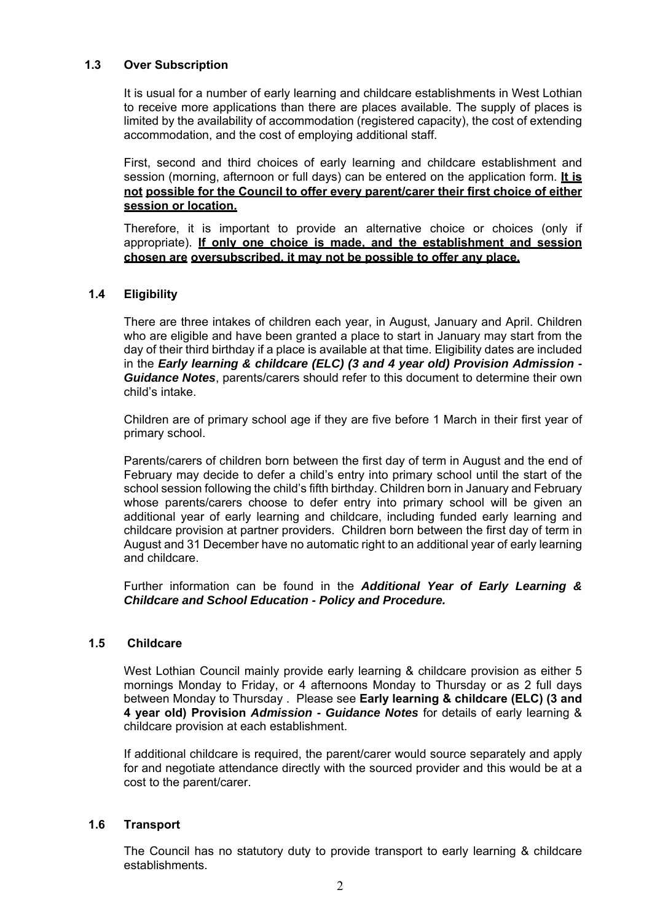# **1.3 Over Subscription**

It is usual for a number of early learning and childcare establishments in West Lothian to receive more applications than there are places available. The supply of places is limited by the availability of accommodation (registered capacity), the cost of extending accommodation, and the cost of employing additional staff.

First, second and third choices of early learning and childcare establishment and session (morning, afternoon or full days) can be entered on the application form. **It is not possible for the Council to offer every parent/carer their first choice of either session or location.** 

Therefore, it is important to provide an alternative choice or choices (only if appropriate). **If only one choice is made, and the establishment and session chosen are oversubscribed, it may not be possible to offer any place.** 

# **1.4 Eligibility**

There are three intakes of children each year, in August, January and April. Children who are eligible and have been granted a place to start in January may start from the day of their third birthday if a place is available at that time. Eligibility dates are included in the *Early learning & childcare (ELC) (3 and 4 year old) Provision Admission - Guidance Notes*, parents/carers should refer to this document to determine their own child's intake.

Children are of primary school age if they are five before 1 March in their first year of primary school.

Parents/carers of children born between the first day of term in August and the end of February may decide to defer a child's entry into primary school until the start of the school session following the child's fifth birthday. Children born in January and February whose parents/carers choose to defer entry into primary school will be given an additional year of early learning and childcare, including funded early learning and childcare provision at partner providers. Children born between the first day of term in August and 31 December have no automatic right to an additional year of early learning and childcare.

Further information can be found in the *Additional Year of Early Learning & Childcare and School Education - Policy and Procedure.* 

### **1.5 Childcare**

West Lothian Council mainly provide early learning & childcare provision as either 5 mornings Monday to Friday, or 4 afternoons Monday to Thursday or as 2 full days between Monday to Thursday . Please see **Early learning & childcare (ELC) (3 and 4 year old) Provision** *Admission - Guidance Notes* for details of early learning & childcare provision at each establishment.

If additional childcare is required, the parent/carer would source separately and apply for and negotiate attendance directly with the sourced provider and this would be at a cost to the parent/carer.

### **1.6 Transport**

The Council has no statutory duty to provide transport to early learning & childcare establishments.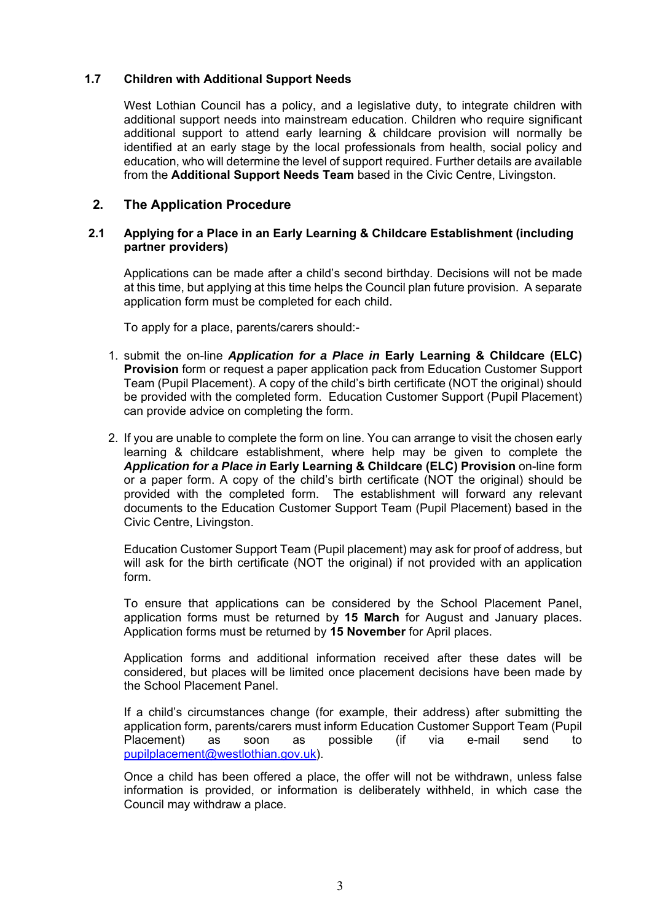# **1.7 Children with Additional Support Needs**

West Lothian Council has a policy, and a legislative duty, to integrate children with additional support needs into mainstream education. Children who require significant additional support to attend early learning & childcare provision will normally be identified at an early stage by the local professionals from health, social policy and education, who will determine the level of support required. Further details are available from the **Additional Support Needs Team** based in the Civic Centre, Livingston.

# **2. The Application Procedure**

#### **2.1 Applying for a Place in an Early Learning & Childcare Establishment (including partner providers)**

Applications can be made after a child's second birthday. Decisions will not be made at this time, but applying at this time helps the Council plan future provision. A separate application form must be completed for each child.

To apply for a place, parents/carers should:-

- 1. submit the on-line *Application for a Place in* **Early Learning & Childcare (ELC) Provision** form or request a paper application pack from Education Customer Support Team (Pupil Placement). A copy of the child's birth certificate (NOT the original) should be provided with the completed form. Education Customer Support (Pupil Placement) can provide advice on completing the form.
- 2. If you are unable to complete the form on line. You can arrange to visit the chosen early learning & childcare establishment, where help may be given to complete the *Application for a Place in* **Early Learning & Childcare (ELC) Provision** on-line form or a paper form. A copy of the child's birth certificate (NOT the original) should be provided with the completed form. The establishment will forward any relevant documents to the Education Customer Support Team (Pupil Placement) based in the Civic Centre, Livingston.

Education Customer Support Team (Pupil placement) may ask for proof of address, but will ask for the birth certificate (NOT the original) if not provided with an application form.

To ensure that applications can be considered by the School Placement Panel, application forms must be returned by **15 March** for August and January places. Application forms must be returned by **15 November** for April places.

Application forms and additional information received after these dates will be considered, but places will be limited once placement decisions have been made by the School Placement Panel.

If a child's circumstances change (for example, their address) after submitting the application form, parents/carers must inform Education Customer Support Team (Pupil Placement) as soon as possible (if via e-mail send to pupilplacement@westlothian.gov.uk).

Once a child has been offered a place, the offer will not be withdrawn, unless false information is provided, or information is deliberately withheld, in which case the Council may withdraw a place.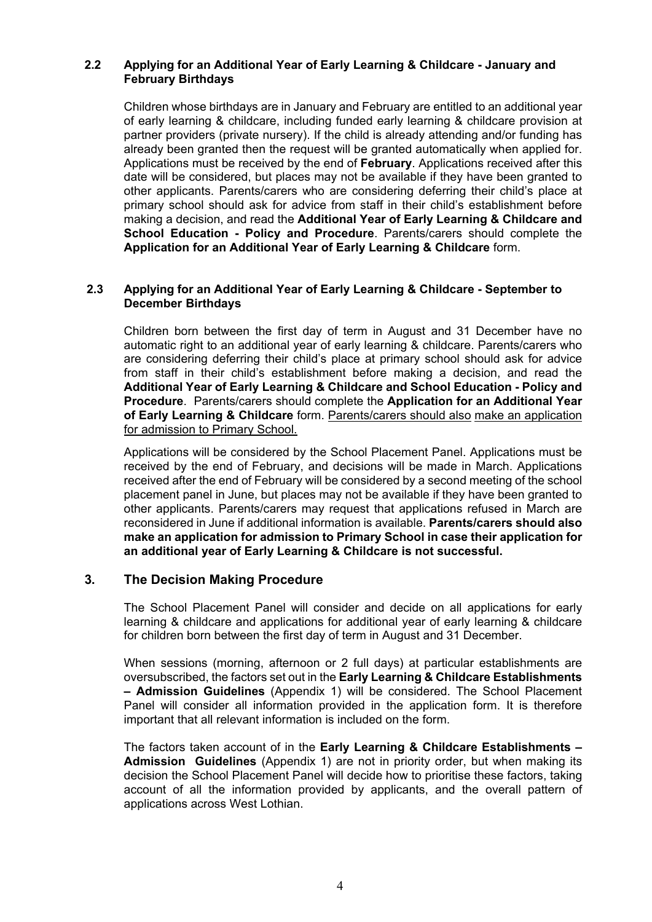# **2.2 Applying for an Additional Year of Early Learning & Childcare - January and February Birthdays**

Children whose birthdays are in January and February are entitled to an additional year of early learning & childcare, including funded early learning & childcare provision at partner providers (private nursery). If the child is already attending and/or funding has already been granted then the request will be granted automatically when applied for. Applications must be received by the end of **February**. Applications received after this date will be considered, but places may not be available if they have been granted to other applicants. Parents/carers who are considering deferring their child's place at primary school should ask for advice from staff in their child's establishment before making a decision, and read the **Additional Year of Early Learning & Childcare and School Education - Policy and Procedure**. Parents/carers should complete the **Application for an Additional Year of Early Learning & Childcare** form.

#### **2.3 Applying for an Additional Year of Early Learning & Childcare - September to December Birthdays**

Children born between the first day of term in August and 31 December have no automatic right to an additional year of early learning & childcare. Parents/carers who are considering deferring their child's place at primary school should ask for advice from staff in their child's establishment before making a decision, and read the **Additional Year of Early Learning & Childcare and School Education - Policy and Procedure**. Parents/carers should complete the **Application for an Additional Year of Early Learning & Childcare** form. Parents/carers should also make an application for admission to Primary School.

Applications will be considered by the School Placement Panel. Applications must be received by the end of February, and decisions will be made in March. Applications received after the end of February will be considered by a second meeting of the school placement panel in June, but places may not be available if they have been granted to other applicants. Parents/carers may request that applications refused in March are reconsidered in June if additional information is available. **Parents/carers should also make an application for admission to Primary School in case their application for an additional year of Early Learning & Childcare is not successful.** 

### **3. The Decision Making Procedure**

The School Placement Panel will consider and decide on all applications for early learning & childcare and applications for additional year of early learning & childcare for children born between the first day of term in August and 31 December.

When sessions (morning, afternoon or 2 full days) at particular establishments are oversubscribed, the factors set out in the **Early Learning & Childcare Establishments – Admission Guidelines** (Appendix 1) will be considered. The School Placement Panel will consider all information provided in the application form. It is therefore important that all relevant information is included on the form.

The factors taken account of in the **Early Learning & Childcare Establishments – Admission Guidelines** (Appendix 1) are not in priority order, but when making its decision the School Placement Panel will decide how to prioritise these factors, taking account of all the information provided by applicants, and the overall pattern of applications across West Lothian.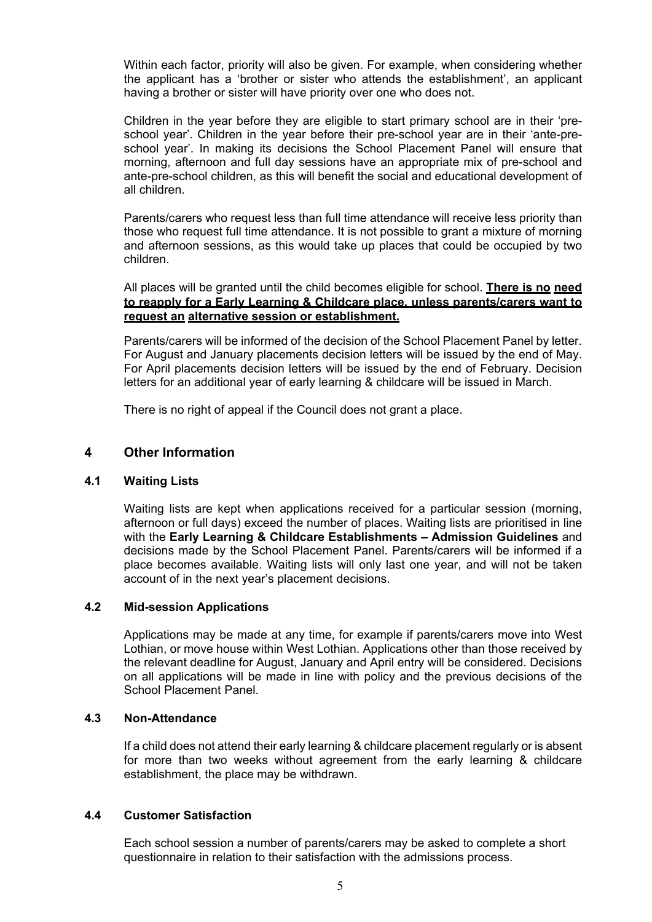Within each factor, priority will also be given. For example, when considering whether the applicant has a 'brother or sister who attends the establishment', an applicant having a brother or sister will have priority over one who does not.

Children in the year before they are eligible to start primary school are in their 'preschool year'. Children in the year before their pre-school year are in their 'ante-preschool year'. In making its decisions the School Placement Panel will ensure that morning, afternoon and full day sessions have an appropriate mix of pre-school and ante-pre-school children, as this will benefit the social and educational development of all children.

Parents/carers who request less than full time attendance will receive less priority than those who request full time attendance. It is not possible to grant a mixture of morning and afternoon sessions, as this would take up places that could be occupied by two children.

All places will be granted until the child becomes eligible for school. **There is no need to reapply for a Early Learning & Childcare place, unless parents/carers want to request an alternative session or establishment.** 

Parents/carers will be informed of the decision of the School Placement Panel by letter. For August and January placements decision letters will be issued by the end of May. For April placements decision letters will be issued by the end of February. Decision letters for an additional year of early learning & childcare will be issued in March.

There is no right of appeal if the Council does not grant a place.

### **4 Other Information**

### **4.1 Waiting Lists**

Waiting lists are kept when applications received for a particular session (morning, afternoon or full days) exceed the number of places. Waiting lists are prioritised in line with the **Early Learning & Childcare Establishments – Admission Guidelines** and decisions made by the School Placement Panel. Parents/carers will be informed if a place becomes available. Waiting lists will only last one year, and will not be taken account of in the next year's placement decisions.

### **4.2 Mid-session Applications**

Applications may be made at any time, for example if parents/carers move into West Lothian, or move house within West Lothian. Applications other than those received by the relevant deadline for August, January and April entry will be considered. Decisions on all applications will be made in line with policy and the previous decisions of the School Placement Panel.

### **4.3 Non-Attendance**

If a child does not attend their early learning & childcare placement regularly or is absent for more than two weeks without agreement from the early learning & childcare establishment, the place may be withdrawn.

### **4.4 Customer Satisfaction**

Each school session a number of parents/carers may be asked to complete a short questionnaire in relation to their satisfaction with the admissions process.